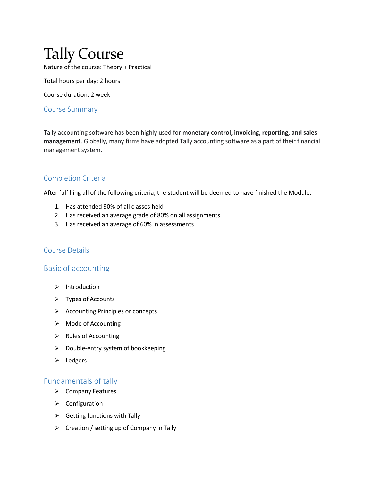# Tally Course Nature of the course: Theory + Practical

Total hours per day: 2 hours

Course duration: 2 week

#### Course Summary

Tally accounting software has been highly used for **monetary control, invoicing, reporting, and sales management**. Globally, many firms have adopted Tally accounting software as a part of their financial management system.

## Completion Criteria

After fulfilling all of the following criteria, the student will be deemed to have finished the Module:

- 1. Has attended 90% of all classes held
- 2. Has received an average grade of 80% on all assignments
- 3. Has received an average of 60% in assessments

#### Course Details

## Basic of accounting

- $\triangleright$  Introduction
- $\triangleright$  Types of Accounts
- Accounting Principles or concepts
- > Mode of Accounting
- $\triangleright$  Rules of Accounting
- $\triangleright$  Double-entry system of bookkeeping
- $\triangleright$  Ledgers

## Fundamentals of tally

- $\triangleright$  Company Features
- $\triangleright$  Configuration
- $\triangleright$  Getting functions with Tally
- $\triangleright$  Creation / setting up of Company in Tally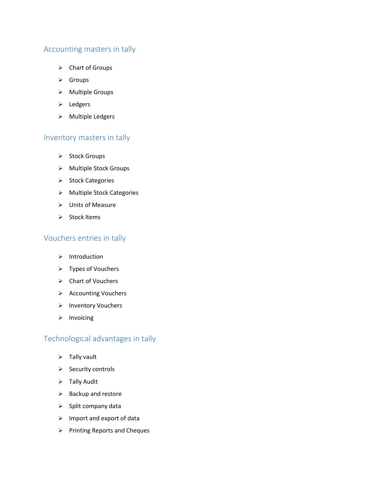# Accounting masters in tally

- Chart of Groups
- $\triangleright$  Groups
- Multiple Groups
- $\triangleright$  Ledgers
- > Multiple Ledgers

## Inventory masters in tally

- $\triangleright$  Stock Groups
- Multiple Stock Groups
- > Stock Categories
- > Multiple Stock Categories
- Units of Measure
- $\triangleright$  Stock Items

## Vouchers entries in tally

- $\triangleright$  Introduction
- Types of Vouchers
- Chart of Vouchers
- > Accounting Vouchers
- > Inventory Vouchers
- $\triangleright$  Invoicing

# Technological advantages in tally

- $\triangleright$  Tally vault
- $\triangleright$  Security controls
- $\triangleright$  Tally Audit
- $\triangleright$  Backup and restore
- $\triangleright$  Split company data
- $\triangleright$  Import and export of data
- $\triangleright$  Printing Reports and Cheques